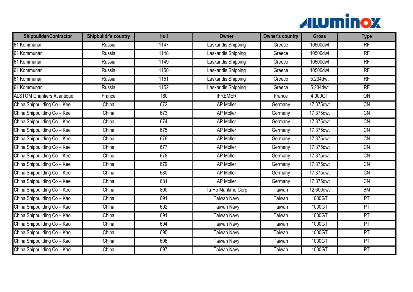

| <b>Shipbuilder/Contractor</b>      | <b>Shipbuildr's country</b> | Hull | <b>Owner</b>        | <b>Owner's country</b> | <b>Gross</b> | <b>Type</b>     |
|------------------------------------|-----------------------------|------|---------------------|------------------------|--------------|-----------------|
| 61 Kommunar                        | Russia                      | 1147 | Laskaridis Shipping | Greece                 | 10500dwt     | RF              |
| 61 Kommunar                        | Russia                      | 1148 | Laskaridis Shipping | Greece                 | 10500dwt     | RF              |
| 61 Kommunar                        | Russia                      | 1149 | Laskaridis Shipping | Greece                 | 10500dwt     | RF              |
| 61 Kommunar                        | Russia                      | 1150 | Laskaridis Shipping | Greece                 | 10500dwt     | $\overline{RF}$ |
| 61 Kommunar                        | Russia                      | 1151 | Laskaridis Shipping | Greece                 | 5.234 dwt    | RF              |
| 61 Kommunar                        | Russia                      | 1152 | Laskaridis Shipping | Greece                 | 5.234 dwt    | $\overline{RF}$ |
| <b>ALSTOM Chantiers Atlantique</b> | France                      | T80  | <b>IFREMER</b>      | France                 | 4.000GT      | QN              |
| China Shipbuilding Co - Kee        | China                       | 672  | AP Moller           | Germany                | 17.375dwt    | CN              |
| China Shipbuilding Co - Kee        | China                       | 673  | <b>AP Moller</b>    | Germany                | 17.375dwt    | $\overline{CN}$ |
| China Shipbuilding Co - Kee        | China                       | 674  | <b>AP Moller</b>    | Germany                | 17.375dwt    | CN              |
| China Shipbuilding Co - Kee        | China                       | 675  | <b>AP Moller</b>    | Germany                | 17.375dwt    | $\overline{CN}$ |
| China Shipbuilding Co - Kee        | China                       | 676  | <b>AP Moller</b>    | Germany                | 17.375dwt    | $\overline{CN}$ |
| China Shipbuilding Co - Kee        | China                       | 677  | AP Moller           | Germany                | 17.375dwt    | <b>CN</b>       |
| China Shipbuilding Co - Kee        | China                       | 678  | <b>AP Moller</b>    | Germany                | 17.375dwt    | $\overline{CN}$ |
| China Shipbuilding Co - Kee        | China                       | 679  | AP Moller           | Germany                | 17.375dwt    | <b>CN</b>       |
| China Shipbuilding Co - Kee        | China                       | 680  | <b>AP Moller</b>    | Germany                | 17.375dwt    | $\overline{CN}$ |
| China Shipbuilding Co - Kee        | China                       | 681  | <b>AP Moller</b>    | Germany                | 17.375dwt    | CN              |
| China Shipbuilding Co - Kee        | China                       | 800  | Ta-Ho Maritime Corp | Taiwan                 | 12.600dwt    | BM              |
| China Shipbuilding Co - Kao        | China                       | 691  | <b>Taiwan Navy</b>  | Taiwan                 | 1000GT       | PT              |
| China Shipbuilding Co - Kao        | China                       | 692  | <b>Taiwan Navy</b>  | Taiwan                 | 1000GT       | PT              |
| China Shipbuilding Co - Kao        | China                       | 691  | <b>Taiwan Navy</b>  | Taiwan                 | 1000GT       | PT              |
| China Shipbuilding Co - Kao        | China                       | 694  | <b>Taiwan Navy</b>  | Taiwan                 | 1000GT       | PT              |
| China Shipbuilding Co - Kao        | China                       | 695  | <b>Taiwan Navy</b>  | Taiwan                 | 1000GT       | PT              |
| China Shipbuilding Co - Kao        | China                       | 696  | <b>Taiwan Navy</b>  | Taiwan                 | 1000GT       | PT              |
| China Shipbuilding Co - Kao        | $\overline{Ch}$ ina         | 697  | <b>Taiwan Navy</b>  | Taiwan                 | 1000GT       | PT              |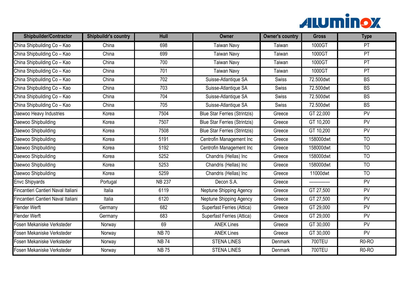

| <b>Shipbuilder/Contractor</b>       | <b>Shipbuildr's country</b> | Hull          | <b>Owner</b>                         | <b>Owner's country</b> | <b>Gross</b>   | <b>Type</b>     |
|-------------------------------------|-----------------------------|---------------|--------------------------------------|------------------------|----------------|-----------------|
| China Shipbuilding Co - Kao         | China                       | 698           | <b>Taiwan Navy</b>                   | Taiwan                 | 1000GT         | PT              |
| China Shipbuilding Co - Kao         | China                       | 699           | <b>Taiwan Navy</b>                   | Taiwan                 | 1000GT         | $\overline{PT}$ |
| China Shipbuilding Co - Kao         | China                       | 700           | <b>Taiwan Navy</b>                   | Taiwan                 | 1000GT         | PT              |
| China Shipbuilding Co - Kao         | China                       | 701           | <b>Taiwan Navy</b>                   | Taiwan                 | 1000GT         | PT              |
| China Shipbuilding Co - Kao         | China                       | 702           | Suisse-Atlantique SA                 | Swiss                  | 72.500dwt      | <b>BS</b>       |
| China Shipbuilding Co - Kao         | China                       | 703           | Suisse-Atlantique SA                 | Swiss                  | 72.500dwt      | <b>BS</b>       |
| China Shipbuilding Co - Kao         | China                       | 704           | Suisse-Atlantique SA                 | Swiss                  | 72.500dwt      | <b>BS</b>       |
| China Shipbuilding Co - Kao         | China                       | 705           | Suisse-Atlantique SA                 | Swiss                  | 72.500dwt      | BS              |
| Daewoo Heavy Industries             | Korea                       | 7504          | <b>Blue Star Ferries (Strintzis)</b> | Greece                 | GT 22,000      | PV              |
| Daewoo Shipbuilding                 | Korea                       | 7507          | <b>Blue Star Ferries (Strintzis)</b> | Greece                 | GT 10,200      | PV              |
| Daewoo Shipbuilding                 | Korea                       | 7508          | <b>Blue Star Ferries (Strintzis)</b> | Greece                 | GT 10,200      | PV              |
| Daewoo Shipbuilding                 | Korea                       | 5191          | Centrofin Management Inc             | Greece                 | 158000dwt      | $\overline{10}$ |
| Daewoo Shipbuilding                 | Korea                       | 5192          | Centrofin Management Inc             | Greece                 | 158000dwt      | <b>TO</b>       |
| Daewoo Shipbuilding                 | Korea                       | 5252          | Chandris (Hellas) Inc                | Greece                 | 158000dwt      | T <sub>O</sub>  |
| Daewoo Shipbuilding                 | Korea                       | 5253          | Chandris (Hellas) Inc                | Greece                 | 158000dwt      | T <sub>O</sub>  |
| Daewoo Shipbuilding                 | Korea                       | 5259          | Chandris (Hellas) Inc                | Greece                 | 11000dwt       | <b>TO</b>       |
| <b>Envc Shipyards</b>               | Portugal                    | <b>NB 237</b> | Decon S.A.                           | Greece                 | -------------- | PV              |
| Fincantieri Cantieri Naval Italiani | Italia                      | 6119          | Neptune Shipping Agency              | Greece                 | GT 27,500      | PV              |
| Fincantieri Cantieri Naval Italiani | Italia                      | 6120          | Neptune Shipping Agency              | Greece                 | GT 27,500      | PV              |
| Flender Werft                       | Germany                     | 682           | Superfast Ferries (Attica)           | Greece                 | GT 29,000      | PV              |
| Flender Werft                       | Germany                     | 683           | Superfast Ferries (Attica)           | Greece                 | GT 29,000      | PV              |
| Fosen Mekaniske Verksteder          | Norway                      | 69            | <b>ANEK Lines</b>                    | Greece                 | GT 30,000      | PV              |
| Fosen Mekaniske Verksteder          | Norway                      | <b>NB70</b>   | <b>ANEK Lines</b>                    | Greece                 | GT 30,000      | PV              |
| Fosen Mekaniske Verksteder          | Norway                      | <b>NB74</b>   | <b>STENA LINES</b>                   | <b>Denmark</b>         | 700TEU         | $R0-R0$         |
| Fosen Mekaniske Verksteder          | Norway                      | <b>NB75</b>   | <b>STENA LINES</b>                   | Denmark                | <b>700TEU</b>  | $R0-R0$         |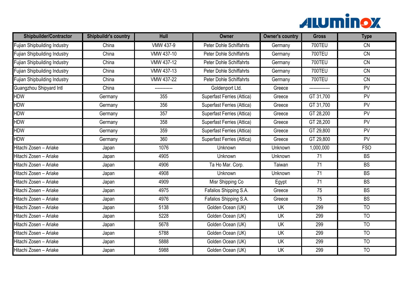

| <b>Shipbuilder/Contractor</b>       | <b>Shipbuildr's country</b> | Hull              | <b>Owner</b>                      | <b>Owner's country</b> | <b>Gross</b>    | <b>Type</b>     |
|-------------------------------------|-----------------------------|-------------------|-----------------------------------|------------------------|-----------------|-----------------|
| Fujian Shipbuilding Industry        | China                       | <b>VMW 437-9</b>  | <b>Peter Dohle Schiffahrts</b>    | Germany                | <b>700TEU</b>   | $\overline{CN}$ |
| Fujian Shipbuilding Industry        | China                       | VMW 437-10        | <b>Peter Dohle Schiffahrts</b>    | Germany                | <b>700TEU</b>   | CN              |
| Fujian Shipbuilding Industry        | China                       | <b>VMW 437-12</b> | <b>Peter Dohle Schiffahrts</b>    | Germany                | <b>700TEU</b>   | $\overline{CN}$ |
| Fujian Shipbuilding Industry        | China                       | VMW 437-13        | <b>Peter Dohle Schiffahrts</b>    | Germany                | 700TEU          | CN              |
| <b>Fujian Shipbuilding Industry</b> | China                       | <b>VMW 437-22</b> | Peter Dohle Schiffahrts           | Germany                | <b>700TEU</b>   | $\overline{CN}$ |
| Guangzhou Shipyard Intl             | China                       |                   | Goldenport Ltd.                   | Greece                 |                 | PV              |
| HDW                                 | Germany                     | 355               | Superfast Ferries (Attica)        | Greece                 | GT 31,700       | PV              |
| HDW                                 | Germany                     | 356               | Superfast Ferries (Attica)        | Greece                 | GT 31,700       | <b>PV</b>       |
| HDW                                 | Germany                     | 357               | Superfast Ferries (Attica)        | Greece                 | GT 28,200       | PV              |
| HDW                                 | Germany                     | 358               | <b>Superfast Ferries (Attica)</b> | Greece                 | GT 28,200       | PV              |
| HDW                                 | Germany                     | 359               | Superfast Ferries (Attica)        | Greece                 | GT 29,800       | PV              |
| HDW                                 | Germany                     | 360               | Superfast Ferries (Attica)        | Greece                 | GT 29,800       | PV              |
| Hitachi Zosen - Ariake              | Japan                       | 1076              | Unknown                           | Unknown                | 1,000,000       | <b>FSO</b>      |
| Hitachi Zosen - Ariake              | Japan                       | 4905              | Unknown                           | Unknown                | $\overline{71}$ | BS              |
| Hitachi Zosen - Ariake              | Japan                       | 4906              | Ta Ho Mar. Corp.                  | Taiwan                 | $\overline{71}$ | BS              |
| Hitachi Zosen – Ariake              | Japan                       | 4908              | <b>Unknown</b>                    | Unknown                | 71              | <b>BS</b>       |
| Hitachi Zosen - Ariake              | Japan                       | 4909              | Misr Shipping Co                  | Egypt                  | $\overline{71}$ | BS              |
| Hitachi Zosen - Ariake              | Japan                       | 4975              | Fafalios Shipping S.A.            | Greece                 | 75              | $\overline{BS}$ |
| Hitachi Zosen - Ariake              | Japan                       | 4976              | Fafalios Shipping S.A.            | Greece                 | 75              | <b>BS</b>       |
| Hitachi Zosen - Ariake              | Japan                       | 5138              | Golden Ocean (UK)                 | <b>UK</b>              | 299             | T <sub>O</sub>  |
| Hitachi Zosen - Ariake              | Japan                       | 5228              | Golden Ocean (UK)                 | UK                     | 299             | <b>TO</b>       |
| Hitachi Zosen - Ariake              | Japan                       | 5678              | Golden Ocean (UK)                 | <b>UK</b>              | 299             | T <sub>O</sub>  |
| Hitachi Zosen - Ariake              | Japan                       | 5788              | Golden Ocean (UK)                 | <b>UK</b>              | 299             | <b>TO</b>       |
| Hitachi Zosen - Ariake              | Japan                       | 5888              | Golden Ocean (UK)                 | UK                     | 299             | $\overline{10}$ |
| Hitachi Zosen - Ariake              | Japan                       | 5988              | Golden Ocean (UK)                 | <b>UK</b>              | 299             | <b>TO</b>       |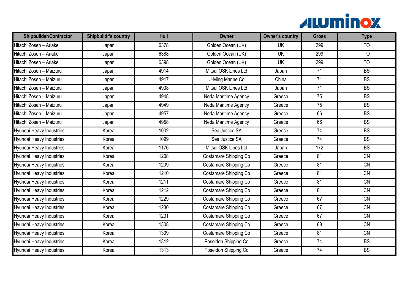

| <b>Shipbuilder/Contractor</b> | <b>Shipbuildr's country</b> | Hull | <b>Owner</b>          | <b>Owner's country</b> | <b>Gross</b>    | <b>Type</b>     |
|-------------------------------|-----------------------------|------|-----------------------|------------------------|-----------------|-----------------|
| Hitachi Zosen - Ariake        | Japan                       | 6378 | Golden Ocean (UK)     | <b>UK</b>              | 299             | <b>TO</b>       |
| Hitachi Zosen - Ariake        | Japan                       | 6388 | Golden Ocean (UK)     | <b>UK</b>              | 299             | $\overline{10}$ |
| Hitachi Zosen - Ariake        | Japan                       | 6398 | Golden Ocean (UK)     | <b>UK</b>              | 299             | $\overline{10}$ |
| Hitachi Zosen - Maizuru       | Japan                       | 4914 | Mitsui OSK Lines Ltd  | Japan                  | 71              | <b>BS</b>       |
| Hitachi Zosen - Maizuru       | Japan                       | 4917 | U-Ming Marine Co      | China                  | 71              | BS              |
| Hitachi Zosen - Maizuru       | Japan                       | 4938 | Mitsui OSK Lines Ltd  | Japan                  | $\overline{71}$ | BS              |
| Hitachi Zosen - Maizuru       | Japan                       | 4948 | Neda Maritime Agency  | Greece                 | 75              | BS              |
| Hitachi Zosen - Maizuru       | Japan                       | 4949 | Neda Maritime Agency  | Greece                 | $\overline{75}$ | <b>BS</b>       |
| Hitachi Zosen - Maizuru       | Japan                       | 4957 | Neda Maritime Agency  | Greece                 | 66              | <b>BS</b>       |
| Hitachi Zosen - Maizuru       | Japan                       | 4958 | Neda Maritime Agency  | Greece                 | 66              | BS              |
| Hyundai Heavy Industries      | Korea                       | 1002 | Sea Justice SA        | Greece                 | 74              | <b>BS</b>       |
| Hyundai Heavy Industries      | Korea                       | 1099 | Sea Justice SA        | Greece                 | 74              | <b>BS</b>       |
| Hyundai Heavy Industries      | Korea                       | 1176 | Mitsui OSK Lines Ltd  | Japan                  | 172             | <b>BS</b>       |
| Hyundai Heavy Industries      | Korea                       | 1208 | Costamare Shipping Co | Greece                 | $\overline{81}$ | $\overline{CN}$ |
| Hyundai Heavy Industries      | Korea                       | 1209 | Costamare Shipping Co | Greece                 | $\overline{81}$ | $\overline{CN}$ |
| Hyundai Heavy Industries      | Korea                       | 1210 | Costamare Shipping Co | Greece                 | 81              | CN              |
| Hyundai Heavy Industries      | Korea                       | 1211 | Costamare Shipping Co | Greece                 | $\overline{81}$ | <b>CN</b>       |
| Hyundai Heavy Industries      | Korea                       | 1212 | Costamare Shipping Co | Greece                 | 81              | CN              |
| Hyundai Heavy Industries      | Korea                       | 1229 | Costamare Shipping Co | Greece                 | 67              | CN              |
| Hyundai Heavy Industries      | Korea                       | 1230 | Costamare Shipping Co | Greece                 | 67              | $\overline{CN}$ |
| Hyundai Heavy Industries      | Korea                       | 1231 | Costamare Shipping Co | Greece                 | 67              | CN              |
| Hyundai Heavy Industries      | Korea                       | 1308 | Costamare Shipping Co | Greece                 | 68              | $\overline{CN}$ |
| Hyundai Heavy Industries      | Korea                       | 1309 | Costamare Shipping Co | Greece                 | 81              | CN              |
| Hyundai Heavy Industries      | Korea                       | 1312 | Poseidon Shipping Co  | Greece                 | $\overline{74}$ | BS              |
| Hyundai Heavy Industries      | Korea                       | 1313 | Poseidon Shipping Co  | Greece                 | 74              | BS              |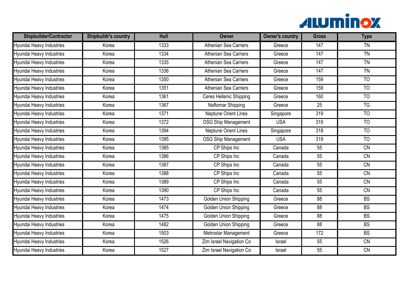

| <b>Shipbuilder/Contractor</b> | <b>Shipbuildr's country</b> | Hull | <b>Owner</b>                 | <b>Owner's country</b> | <b>Gross</b>    | <b>Type</b>     |
|-------------------------------|-----------------------------|------|------------------------------|------------------------|-----------------|-----------------|
| Hyundai Heavy Industries      | Korea                       | 1333 | Athenian Sea Carriers        | Greece                 | 147             | TN              |
| Hyundai Heavy Industries      | Korea                       | 1334 | Athenian Sea Carriers        | Greece                 | 147             | <b>TN</b>       |
| Hyundai Heavy Industries      | Korea                       | 1335 | <b>Athenian Sea Carriers</b> | Greece                 | 147             | TN              |
| Hyundai Heavy Industries      | Korea                       | 1336 | Athenian Sea Carriers        | Greece                 | 147             | <b>TN</b>       |
| Hyundai Heavy Industries      | Korea                       | 1350 | <b>Athenian Sea Carriers</b> | Greece                 | 159             | $\overline{10}$ |
| Hyundai Heavy Industries      | Korea                       | 1351 | <b>Athenian Sea Carriers</b> | Greece                 | 159             | T <sub>O</sub>  |
| Hyundai Heavy Industries      | Korea                       | 1361 | Ceres Hellenic Shipping      | Greece                 | 160             | $\overline{10}$ |
| Hyundai Heavy Industries      | Korea                       | 1367 | Naftomar Shipping            | Greece                 | 25              | <b>TG</b>       |
| Hyundai Heavy Industries      | Korea                       | 1371 | Neptune Orient Lines         | Singapore              | 319             | T <sub>O</sub>  |
| Hyundai Heavy Industries      | Korea                       | 1372 | <b>OSG Ship Management</b>   | <b>USA</b>             | 319             | $\overline{10}$ |
| Hyundai Heavy Industries      | Korea                       | 1394 | Neptune Orient Lines         | Singapore              | 318             | <b>TO</b>       |
| Hyundai Heavy Industries      | Korea                       | 1395 | <b>OSG Ship Management</b>   | <b>USA</b>             | 319             | TO              |
| Hyundai Heavy Industries      | Korea                       | 1385 | CP Ships Inc                 | Canada                 | 55              | $\overline{CN}$ |
| Hyundai Heavy Industries      | Korea                       | 1386 | CP Ships Inc                 | Canada                 | $\overline{55}$ | $\overline{CN}$ |
| Hyundai Heavy Industries      | Korea                       | 1387 | CP Ships Inc                 | Canada                 | 55              | CN              |
| Hyundai Heavy Industries      | Korea                       | 1388 | CP Ships Inc                 | Canada                 | 55              | CN              |
| Hyundai Heavy Industries      | Korea                       | 1389 | CP Ships Inc                 | Canada                 | $\overline{55}$ | $\overline{CN}$ |
| Hyundai Heavy Industries      | Korea                       | 1390 | CP Ships Inc                 | Canada                 | 55              | CN              |
| Hyundai Heavy Industries      | Korea                       | 1473 | <b>Golden Union Shipping</b> | Greece                 | 88              | $\overline{BS}$ |
| Hyundai Heavy Industries      | Korea                       | 1474 | Golden Union Shipping        | Greece                 | $\overline{88}$ | BS              |
| Hyundai Heavy Industries      | Korea                       | 1475 | Golden Union Shipping        | Greece                 | 88              | <b>BS</b>       |
| Hyundai Heavy Industries      | Korea                       | 1482 | Golden Union Shipping        | Greece                 | $\overline{88}$ | <b>BS</b>       |
| Hyundai Heavy Industries      | Korea                       | 1503 | Metrostar Management         | Greece                 | 172             | <b>BS</b>       |
| Hyundai Heavy Industries      | Korea                       | 1526 | Zim Israel Navigation Co     | Israel                 | $\overline{55}$ | CN              |
| Hyundai Heavy Industries      | Korea                       | 1527 | Zim Israel Navigation Co     | Israel                 | 55              | CN              |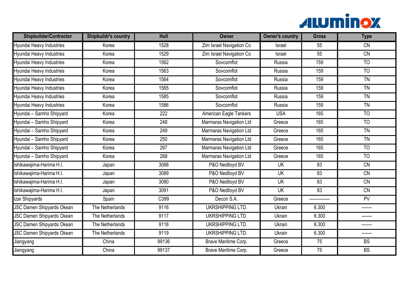

| <b>Shipbuilder/Contractor</b>    | <b>Shipbuildr's country</b> | Hull  | <b>Owner</b>                   | <b>Owner's country</b> | <b>Gross</b>    | <b>Type</b>     |
|----------------------------------|-----------------------------|-------|--------------------------------|------------------------|-----------------|-----------------|
| Hyundai Heavy Industries         | Korea                       | 1528  | Zim Israel Navigation Co       | Israel                 | 55              | $\overline{CN}$ |
| Hyundai Heavy Industries         | Korea                       | 1529  | Zim Israel Navigation Co       | Israel                 | 55              | CN              |
| Hyundai Heavy Industries         | Korea                       | 1562  | Sovcomflot                     | Russia                 | 159             | $\overline{10}$ |
| Hyundai Heavy Industries         | Korea                       | 1563  | Sovcomflot                     | Russia                 | 159             | $\overline{10}$ |
| Hyundai Heavy Industries         | Korea                       | 1564  | Sovcomflot                     | Russia                 | 159             | $\overline{TN}$ |
| Hyundai Heavy Industries         | Korea                       | 1565  | Sovcomflot                     | Russia                 | 159             | <b>TN</b>       |
| Hyundai Heavy Industries         | Korea                       | 1585  | Sovcomflot                     | Russia                 | 159             | TN              |
| Hyundai Heavy Industries         | Korea                       | 1586  | Sovcomflot                     | Russia                 | 159             | <b>TN</b>       |
| Hyundai - Samho Shipyard         | Korea                       | 222   | American Eagle Tankers         | <b>USA</b>             | 165             | <b>TO</b>       |
| Hyundai - Samho Shipyard         | Korea                       | 248   | <b>Marmaras Navigation Ltd</b> | Greece                 | 165             | $\overline{10}$ |
| Hyundai - Samho Shipyard         | Korea                       | 249   | Marmaras Navigation Ltd        | Greece                 | 165             | <b>TN</b>       |
| Hyundai - Samho Shipyard         | Korea                       | 250   | <b>Marmaras Navigation Ltd</b> | Greece                 | 165             | $\overline{TN}$ |
| Hyundai - Samho Shipyard         | Korea                       | 267   | <b>Marmaras Navigation Ltd</b> | Greece                 | 165             | <b>TO</b>       |
| Hyundai - Samho Shipyard         | Korea                       | 268   | <b>Marmaras Navigation Ltd</b> | Greece                 | 165             | T <sub>O</sub>  |
| Ishikawajima-Harima H.I.         | Japan                       | 3088  | P&O Nedlloyd BV                | <b>UK</b>              | $\overline{83}$ | $\overline{CN}$ |
| Ishikawajima-Harima H.I.         | Japan                       | 3089  | P&O Nedlloyd BV                | <b>UK</b>              | 83              | CN              |
| Ishikawajima-Harima H.I.         | Japan                       | 3090  | P&O Nedlloyd BV                | UK                     | 83              | CN              |
| Ishikawajima-Harima H.I.         | Japan                       | 3091  | P&O Nedlloyd BV                | <b>UK</b>              | 83              | $\overline{CN}$ |
| Izar Shipyards                   | Spain                       | C399  | Decon S.A.                     | Greece                 |                 | PV              |
| <b>JSC Damen Shipyards Okean</b> | The Netherlands             | 9116  | <b>UKRSHIPPING LTD.</b>        | Ukrain                 | 6.300           | -------         |
| <b>JSC Damen Shipyards Okean</b> | The Netherlands             | 9117  | UKRSHIPPING LTD.               | Ukrain                 | 6.300           |                 |
| <b>JSC Damen Shipyards Okean</b> | The Netherlands             | 9118  | <b>UKRSHIPPING LTD.</b>        | Ukrain                 | 6.300           | -------         |
| <b>JSC Damen Shipyards Okean</b> | The Netherlands             | 9119  | <b>UKRSHIPPING LTD.</b>        | Ukrain                 | 6.300           | -------         |
| Jiangyang                        | China                       | 99136 | Brave Maritime Corp.           | Greece                 | 75              | <b>BS</b>       |
| Jiangyang                        | China                       | 99137 | Brave Maritime Corp.           | Greece                 | 75              | <b>BS</b>       |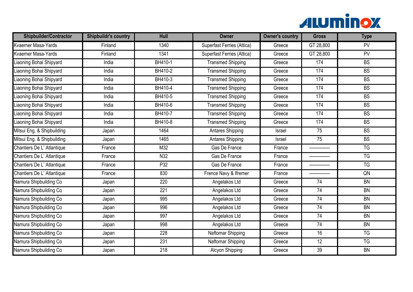

| <b>Shipbuilder/Contractor</b> | <b>Shipbuildr's country</b> | Hull             | <b>Owner</b>               | <b>Owner's country</b> | <b>Gross</b>    | <b>Type</b> |
|-------------------------------|-----------------------------|------------------|----------------------------|------------------------|-----------------|-------------|
| Kvaerner Masa-Yards           | Finland                     | 1340             | Superfast Ferries (Attica) | Greece                 | GT 28,800       | PV          |
| Kvaerner Masa-Yards           | Finland                     | 1341             | Superfast Ferries (Attica) | Greece                 | GT 28,800       | PV          |
| iaoning Bohai Shipyard        | India                       | BH410-1          | <b>Transmed Shipping</b>   | Greece                 | 174             | BS          |
| iaoning Bohai Shipyard        | India                       | BH410-2          | <b>Transmed Shipping</b>   | Greece                 | 174             | <b>BS</b>   |
| iaoning Bohai Shipyard        | India                       | BH410-3          | <b>Transmed Shipping</b>   | Greece                 | 174             | BS          |
| iaoning Bohai Shipyard        | India                       | BH410-4          | <b>Transmed Shipping</b>   | Greece                 | 174             | <b>BS</b>   |
| iaoning Bohai Shipyard        | India                       | BH410-5          | <b>Transmed Shipping</b>   | Greece                 | 174             | BS          |
| iaoning Bohai Shipyard        | India                       | BH410-6          | <b>Transmed Shipping</b>   | Greece                 | 174             | BS          |
| iaoning Bohai Shipyard        | India                       | BH410-7          | <b>Transmed Shipping</b>   | Greece                 | 174             | <b>BS</b>   |
| iaoning Bohai Shipyard        | India                       | BH410-8          | <b>Transmed Shipping</b>   | Greece                 | 174             | <b>BS</b>   |
| Mitsui Eng. & Shipbuilding    | Japan                       | 1464             | Antares Shipping           | Israel                 | 75              | <b>BS</b>   |
| Mitsui Eng. & Shipbuilding    | Japan                       | 1465             | <b>Antares Shipping</b>    | Israel                 | 75              | <b>BS</b>   |
| Chantiers De L' Atlantique    | France                      | M32              | Gas De France              | France                 |                 | <b>TG</b>   |
| Chantiers De L' Atlantique    | France                      | N <sub>32</sub>  | Gas De France              | France                 |                 | TG          |
| Chantiers De L' Atlantique    | France                      | P32              | Gas De France              | France                 | --------------  | TG          |
| Chantiers De L' Atlantique    | France                      | 830              | Frence Navy & Ifremer      | France                 | --------------  | QN          |
| Namura Shipbuilding Co        | Japan                       | 220              | Angelakos Ltd              | Greece                 | $\overline{74}$ | BN          |
| Namura Shipbuilding Co        | Japan                       | 221              | Angelakos Ltd              | Greece                 | 74              | <b>BN</b>   |
| Namura Shipbuilding Co        | Japan                       | 995              | Angelakos Ltd              | Greece                 | 74              | BN          |
| <b>Vamura Shipbuilding Co</b> | Japan                       | 996              | Angelakos Ltd              | Greece                 | $\overline{74}$ | <b>BN</b>   |
| Namura Shipbuilding Co        | Japan                       | 997              | Angelakos Ltd              | Greece                 | 74              | <b>BN</b>   |
| <b>Vamura Shipbuilding Co</b> | Japan                       | 998              | Angelakos Ltd              | Greece                 | $\overline{74}$ | BN          |
| Namura Shipbuilding Co        | Japan                       | 228              | Naftomar Shipping          | Greece                 | 16              | <b>TG</b>   |
| Namura Shipbuilding Co        | Japan                       | 231              | Naftomar Shipping          | Greece                 | $\overline{12}$ | <b>TG</b>   |
| Namura Shipbuilding Co        | Japan                       | $\overline{218}$ | Alcyon Shipping            | Greece                 | $\overline{39}$ | <b>BN</b>   |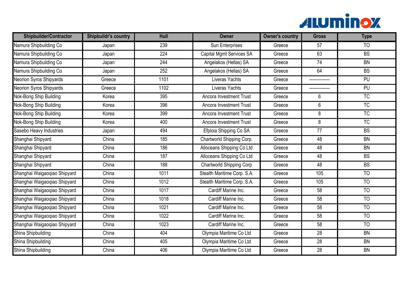

| <b>Shipbuilder/Contractor</b>  | <b>Shipbuildr's country</b> | Hull | <b>Owner</b>                    | <b>Owner's country</b> | <b>Gross</b>    | <b>Type</b>            |
|--------------------------------|-----------------------------|------|---------------------------------|------------------------|-----------------|------------------------|
| Namura Shipbuilding Co         | Japan                       | 239  | Sun Enterprises                 | Greece                 | $\overline{57}$ | $\overline{10}$        |
| Namura Shipbuilding Co         | Japan                       | 224  | <b>Capital Mgmt Services SA</b> | Greece                 | 63              | <b>BS</b>              |
| Namura Shipbuilding Co         | Japan                       | 244  | Angelakos (Hellas) SA           | Greece                 | $\overline{74}$ | BN                     |
| Namura Shipbuilding Co         | Japan                       | 252  | Angelakos (Hellas) SA           | Greece                 | 64              | <b>BS</b>              |
| <b>Neorion Syros Shipyards</b> | Greece                      | 1101 | Liveras Yachts                  | Greece                 |                 | PU                     |
| <b>Neorion Syros Shipyards</b> | Greece                      | 1102 | Liveras Yachts                  | Greece                 |                 | PU                     |
| Nok-Bong Ship Building         | Korea                       | 395  | Ancora Investment Trust         | Greece                 | 6               | TC                     |
| Nok-Bong Ship Building         | Korea                       | 396  | Ancora Investment Trust         | Greece                 | 6               | $\overline{\text{TC}}$ |
| Nok-Bong Ship Building         | Korea                       | 399  | <b>Ancora Investment Trust</b>  | Greece                 | 8               | $\overline{TC}$        |
| Nok-Bong Ship Building         | Korea                       | 400  | Ancora Investment Trust         | Greece                 | 8               | TC                     |
| Sasebo Heavy Industries        | Japan                       | 494  | Efploia Shipping Co SA          | Greece                 | 77              | <b>BS</b>              |
| Shanghai Shipyard              | China                       | 185  | Chartworld Shipping Corp.       | Greece                 | 48              | BN                     |
| Shanghai Shipyard              | China                       | 186  | Alloceans Shipping Co Ltd       | Greece                 | 48              | <b>BN</b>              |
| Shanghai Shipyard              | China                       | 187  | Alloceans Shipping Co Ltd       | Greece                 | 48              | BS                     |
| Shanghai Shipyard              | China                       | 188  | Chartworld Shipping Corp        | Greece                 | 48              | <b>BS</b>              |
| Shanghai Waigaoqiao Shipyard   | China                       | 1011 | Stealth Maritime Corp. S.A.     | Greece                 | 105             | TO                     |
| Shanghai Waigaoqiao Shipyard   | China                       | 1012 | Stealth Maritime Corp. S.A.     | Greece                 | 105             | $\overline{10}$        |
| Shanghai Waigaoqiao Shipyard   | China                       | 1017 | Cardiff Marine Inc.             | Greece                 | 58              | <b>TO</b>              |
| Shanghai Waigaoqiao Shipyard   | China                       | 1018 | Cardiff Marine Inc.             | Greece                 | 58              | TO                     |
| Shanghai Waigaoqiao Shipyard   | China                       | 1021 | Cardiff Marine Inc.             | Greece                 | 58              | $\overline{10}$        |
| Shanghai Waigaoqiao Shipyard   | China                       | 1022 | Cardiff Marine Inc.             | Greece                 | 58              | <b>TO</b>              |
| Shanghai Waigaoqiao Shipyard   | China                       | 1023 | Cardiff Marine Inc.             | Greece                 | $\overline{58}$ | TO                     |
| Shina Shipbuilding             | China                       | 404  | Olympia Maritime Co Ltd         | Greece                 | $\overline{28}$ | <b>BN</b>              |
| Shina Shipbuilding             | China                       | 405  | Olympia Maritime Co Ltd         | Greece                 | 28              | BN                     |
| Shina Shipbuilding             | China                       | 406  | Olympia Maritime Co Ltd         | Greece                 | 28              | BN                     |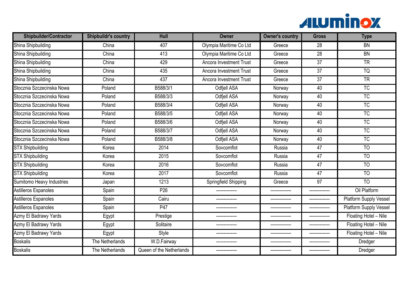

| <b>Shipbuilder/Contractor</b> | <b>Shipbuildr's country</b> | Hull                     | <b>Owner</b>                   | <b>Owner's country</b> | <b>Gross</b>    | <b>Type</b>                   |
|-------------------------------|-----------------------------|--------------------------|--------------------------------|------------------------|-----------------|-------------------------------|
| Shina Shipbuilding            | China                       | 407                      | Olympia Maritime Co Ltd        | Greece                 | $\overline{28}$ | BN                            |
| Shina Shipbuilding            | China                       | 413                      | Olympia Maritime Co Ltd        | Greece                 | 28              | <b>BN</b>                     |
| Shina Shipbuilding            | China                       | 429                      | <b>Ancora Investment Trust</b> | Greece                 | $\overline{37}$ | <b>TR</b>                     |
| Shina Shipbuilding            | China                       | 435                      | Ancora Investment Trust        | Greece                 | 37              | <b>TQ</b>                     |
| Shina Shipbuilding            | China                       | 437                      | Ancora Investment Trust        | Greece                 | $\overline{37}$ | $\overline{\text{TR}}$        |
| Stocznia Szczecinska Nowa     | Poland                      | B588/3/1                 | Odfjell ASA                    | Norway                 | 40              | <b>TC</b>                     |
| Stocznia Szczecinska Nowa     | Poland                      | B588/3/3                 | <b>Odfjell ASA</b>             | Norway                 | 40              | TC                            |
| Stocznia Szczecinska Nowa     | Poland                      | B588/3/4                 | Odfjell ASA                    | Norway                 | 40              | TC                            |
| Stocznia Szczecinska Nowa     | Poland                      | B588/3/5                 | Odfjell ASA                    | Norway                 | 40              | <b>TC</b>                     |
| Stocznia Szczecinska Nowa     | Poland                      | B588/3/6                 | <b>Odfjell ASA</b>             | Norway                 | 40              | TC                            |
| Stocznia Szczecinska Nowa     | Poland                      | B588/3/7                 | <b>Odfjell ASA</b>             | Norway                 | 40              | <b>TC</b>                     |
| Stocznia Szczecinska Nowa     | Poland                      | B588/3/8                 | Odfjell ASA                    | Norway                 | 40              | <b>TC</b>                     |
| <b>STX Shipbuilding</b>       | Korea                       | 2014                     | Sovcomflot                     | Russia                 | 47              | T <sub>O</sub>                |
| <b>STX Shipbuilding</b>       | Korea                       | 2015                     | Sovcomflot                     | Russia                 | $\overline{47}$ | $\overline{10}$               |
| <b>STX Shipbuilding</b>       | Korea                       | 2016                     | Sovcomflot                     | Russia                 | 47              | $\overline{10}$               |
| <b>STX Shipbuilding</b>       | Korea                       | 2017                     | Sovcomflot                     | Russia                 | 47              | <b>TO</b>                     |
| Sumitomo Heavy Industries     | Japan                       | 1213                     | Springfield Shipping           | Greece                 | $\overline{97}$ | $\overline{10}$               |
| Astilleros Espanoles          | Spain                       | P <sub>26</sub>          |                                | --------------         | --------------  | Oil Platform                  |
| Astilleros Espanoles          | Spain                       | Cairu                    |                                |                        |                 | <b>Platform Supply Vessel</b> |
| Astilleros Espanoles          | Spain                       | P47                      |                                | --------------         |                 | Platform Supply Vessel        |
| Azmy El Badrawy Yards         | Egypt                       | Prestige                 |                                |                        |                 | Floating Hotel - Nile         |
| Azmy El Badrawy Yards         | Egypt                       | Solitaire                |                                |                        |                 | Floating Hotel - Nile         |
| Azmy El Badrawy Yards         | Egypt                       | Style                    |                                |                        |                 | Floating Hotel - Nile         |
| <b>Boskalis</b>               | The Netherlands             | W.D.Fairway              |                                | _______________        | ______________  | Dredger                       |
| <b>Boskalis</b>               | The Netherlands             | Queen of the Netherlands |                                | --------------         | --------------  | Dredger                       |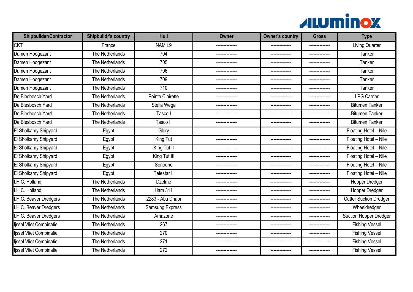

| Shipbuilder/Contractor         | <b>Shipbuildr's country</b> | <b>Hull</b>             | Owner          | <b>Owner's country</b> | <b>Gross</b>   | <b>Type</b>                   |
|--------------------------------|-----------------------------|-------------------------|----------------|------------------------|----------------|-------------------------------|
| <b>CKT</b>                     | France                      | NAM <sub>L9</sub>       | -------------- | --------------         | -------------- | <b>Living Quarter</b>         |
| Damen Hoogezant                | The Netherlands             | 704                     |                | ---------------        | -------------- | <b>Tanker</b>                 |
| Damen Hoogezant                | The Netherlands             | 705                     | -------------- | --------------         |                | Tanker                        |
| Damen Hoogezant                | The Netherlands             | 706                     |                | --------------         | -------------- | Tanker                        |
| Damen Hoogezant                | The Netherlands             | 709                     |                |                        |                | <b>Tanker</b>                 |
| Damen Hoogezant                | The Netherlands             | 710                     |                |                        |                | Tanker                        |
| De Biesbosch Yard              | The Netherlands             | <b>Pointe Clairette</b> | -------------- | --------------         | -------------- | <b>LPG Carrier</b>            |
| De Biesbosch Yard              | The Netherlands             | Stella Wega             |                |                        |                | <b>Bitumen Tanker</b>         |
| De Biesbosch Yard              | The Netherlands             | Tasco I                 |                | --------------         | -------------- | <b>Bitumen Tanker</b>         |
| De Biesbosch Yard              | The Netherlands             | Tasco II                |                | --------------         | -------------- | <b>Bitumen Tanker</b>         |
| El Sholkamy Shipyard           | Egypt                       | Glory                   | -------------- | --------------         | -------------- | Floating Hotel - Nile         |
| El Sholkamy Shipyard           | Egypt                       | King Tut                |                |                        |                | Floating Hotel - Nile         |
| El Sholkamy Shipyard           | Egypt                       | King Tut II             |                | --------------         | -------------- | Floating Hotel - Nile         |
| El Sholkamy Shipyard           | Egypt                       | King Tut III            |                | --------------         | -------------  | Floating Hotel - Nile         |
| El Sholkamy Shipyard           | Egypt                       | Senouhe                 |                |                        |                | Floating Hotel - Nile         |
| El Sholkamy Shipyard           | Egypt                       | Telestar II             |                |                        |                | Floating Hotel - Nile         |
| <b>.H.C. Holland</b>           | The Netherlands             | <b>Dzelme</b>           | -------------  | ---------------        | -------------- | Hopper Dredger                |
| .H.C. Holland                  | The Netherlands             | <b>Ham 311</b>          |                | --------------         | -------------- | Hopper Dredger                |
| <b>H.C. Beaver Dredgers</b>    | The Netherlands             | 2283 - Abu Dhabi        |                |                        |                | <b>Cutter Suction Dredger</b> |
| I.H.C. Beaver Dredgers         | The Netherlands             | Samsung Express         |                |                        |                | Wheeldredger                  |
| <b>.H.C. Beaver Dredgers</b>   | The Netherlands             | Amazone                 |                | --------------         |                | Suction Hopper Dredger        |
| Ijssel Vliet Combinatie        | The Netherlands             | 267                     |                | --------------         |                | <b>Fishing Vessel</b>         |
| <b>Ijssel Vliet Combinatie</b> | The Netherlands             | 270                     |                |                        |                | <b>Fishing Vessel</b>         |
| ljssel Vliet Combinatie        | The Netherlands             | 271                     |                | --------------         | -------------- | <b>Fishing Vessel</b>         |
| lissel Vliet Combinatie        | The Netherlands             | 272                     | -------------- | --------------         | -------------- | <b>Fishing Vessel</b>         |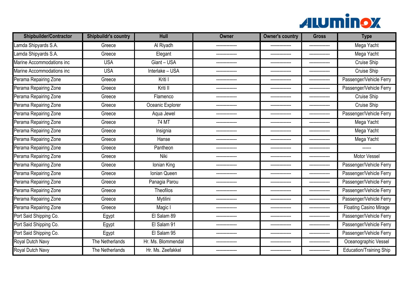

| <b>Shipbuilder/Contractor</b> | <b>Shipbuildr's country</b> | Hull               | Owner          | <b>Owner's country</b> | <b>Gross</b>   | <b>Type</b>                    |
|-------------------------------|-----------------------------|--------------------|----------------|------------------------|----------------|--------------------------------|
| Lamda Shipyards S.A.          | Greece                      | Al Riyadh          | -------------- | --------------         | -------------- | Mega Yacht                     |
| Lamda Shipyards S.A.          | Greece                      | Elegant            |                | ---------------        | -------------- | Mega Yacht                     |
| Marine Accommodations inc     | <b>USA</b>                  | Giant - USA        |                | --------------         | -------------- | Cruise Ship                    |
| Marine Accommodations inc     | <b>USA</b>                  | Interlake - USA    |                | --------------         | -------------- | <b>Cruise Ship</b>             |
| Perama Repairing Zone         | Greece                      | Kriti I            |                |                        |                | Passenger/Vehicle Ferry        |
| Perama Repairing Zone         | Greece                      | Kriti II           |                |                        |                | Passenger/Vehicle Ferry        |
| Perama Repairing Zone         | Greece                      | Flamenco           | -------------- | --------------         | -------------- | <b>Cruise Ship</b>             |
| Perama Repairing Zone         | Greece                      | Oceanic Explorer   |                | --------------         | -------------- | Cruise Ship                    |
| Perama Repairing Zone         | Greece                      | Aqua Jewel         |                | --------------         | -------------- | Passenger/Vehicle Ferry        |
| Perama Repairing Zone         | Greece                      | 74 MT              | -------------- | --------------         | -------------- | Mega Yacht                     |
| Perama Repairing Zone         | Greece                      | Insignia           | -------------- | --------------         | -------------- | Mega Yacht                     |
| Perama Repairing Zone         | Greece                      | Hanse              |                | --------------         | -------------- | Mega Yacht                     |
| Perama Repairing Zone         | Greece                      | Pantheon           |                |                        |                |                                |
| Perama Repairing Zone         | Greece                      | Niki               |                |                        |                | Motor Vessel                   |
| Perama Repairing Zone         | Greece                      | Ionian King        |                |                        | -------------- | Passenger/Vehicle Ferry        |
| Perama Repairing Zone         | Greece                      | Ionian Queen       |                | --------------         | -------------- | Passenger/Vehicle Ferry        |
| Perama Repairing Zone         | Greece                      | Panagia Parou      |                | ---------------        |                | Passenger/Vehicle Ferry        |
| Perama Repairing Zone         | Greece                      | Theofilos          |                | --------------         |                | Passenger/Vehicle Ferry        |
| Perama Repairing Zone         | Greece                      | Mytilini           |                | --------------         | -------------- | Passenger/Vehicle Ferry        |
| Perama Repairing Zone         | Greece                      | Magic I            |                |                        | -------------- | <b>Floating Casino Mirage</b>  |
| Port Said Shipping Co.        | Egypt                       | El Salam 89        |                | -------------          |                | Passenger/Vehicle Ferry        |
| Port Said Shipping Co.        | Egypt                       | El Salam 91        | -------------  | --------------         | -------------- | Passenger/Vehicle Ferry        |
| Port Said Shipping Co.        | Egypt                       | El Salam 95        |                |                        |                | Passenger/Vehicle Ferry        |
| Royal Dutch Navy              | The Netherlands             | Hr. Ms. Blommendal | -------------- | --------------         | -------------- | Oceanographic Vessel           |
| Royal Dutch Navy              | The Netherlands             | Hr. Ms. Zeefakkel  |                | --------------         | -------------- | <b>Education/Training Ship</b> |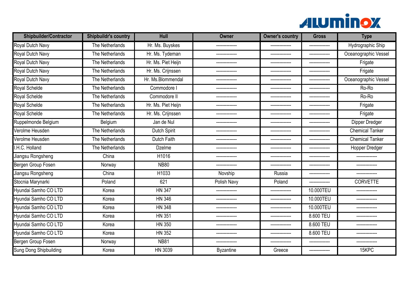

| <b>Shipbuilder/Contractor</b> | <b>Shipbuildr's country</b> | Hull                | <b>Owner</b>     | <b>Owner's country</b> | <b>Gross</b>   | <b>Type</b>            |
|-------------------------------|-----------------------------|---------------------|------------------|------------------------|----------------|------------------------|
| Royal Dutch Navy              | The Netherlands             | Hr. Ms. Buyskes     | --------------   | --------------         | -------------- | Hydrographic Ship      |
| Royal Dutch Navy              | The Netherlands             | Hr. Ms. Tydeman     | --------------   | --------------         | -------------- | Oceanographic Vessel   |
| Royal Dutch Navy              | The Netherlands             | Hr. Ms. Piet Heijn  | --------------   | ---------------        | -------------- | Frigate                |
| Royal Dutch Navy              | The Netherlands             | Hr. Ms. Crijnssen   | -------------    | --------------         |                | Frigate                |
| Royal Dutch Navy              | The Netherlands             | Hr. Ms.Blommendal   | -------------    | --------------         | -------------- | Oceanographic Vessel   |
| Royal Schelde                 | The Netherlands             | Commodore           |                  | -------------          | -------------- | Ro-Ro                  |
| Royal Schelde                 | The Netherlands             | Commodore II        | ------           |                        |                | Ro-Ro                  |
| Royal Schelde                 | The Netherlands             | Hr. Ms. Piet Heijn  | --------------   | --------------         | -------------- | Frigate                |
| Royal Schelde                 | The Netherlands             | Hr. Ms. Crijnssen   | --------------   | --------------         | -------------- | Frigate                |
| Ruppelmonde Belgium           | Belgium                     | Jan de Nul          |                  | --------------         | -------------- | Dipper Dredger         |
| Verolme Heusden               | The Netherlands             | <b>Dutch Spirit</b> | -------------    | --------------         | -------------- | <b>Chemical Tanker</b> |
| Verolme Heusden               | The Netherlands             | Dutch Faith         |                  |                        |                | <b>Chemical Tanker</b> |
| I.H.C. Holland                | The Netherlands             | <b>Dzelme</b>       | -------------    | --------------         | -------------- | <b>Hopper Dredger</b>  |
| Jiangsu Rongsheng             | China                       | H1016               |                  | --------------         |                | --------------         |
| Bergen Group Fosen            | Norway                      | <b>NB80</b>         |                  |                        |                |                        |
| Jiangsu Rongsheng             | China                       | H1033               | Novship          | Russia                 | -------------- |                        |
| Stocnia Marynarki             | Poland                      | 621                 | Polish Navy      | Poland                 | -------------- | <b>CORVETTE</b>        |
| Hyundai Samho CO LTD          | Korea                       | <b>HN 347</b>       | --------------   | --------------         | 10.000TEU      | -------------          |
| Hyundai Samho CO LTD          | Korea                       | <b>HN 346</b>       |                  |                        | 10.000TEU      |                        |
| Hyundai Samho CO LTD          | Korea                       | <b>HN 348</b>       |                  | --------------         | 10.000TEU      |                        |
| Hyundai Samho CO LTD          | Korea                       | <b>HN 351</b>       |                  | -------------          | 8.600 TEU      |                        |
| Hyundai Samho CO LTD          | Korea                       | <b>HN 350</b>       |                  |                        | 8.600 TEU      |                        |
| Hyundai Samho CO LTD          | Korea                       | <b>HN 352</b>       |                  |                        | 8.600 TEU      |                        |
| Bergen Group Fosen            | Norway                      | <b>NB81</b>         | -------------    | ---------------        | -------------- | -------------          |
| Sung Dong Shipbuilding        | Korea                       | HN 3039             | <b>Byzantine</b> | Greece                 | -------------- | 15KPC                  |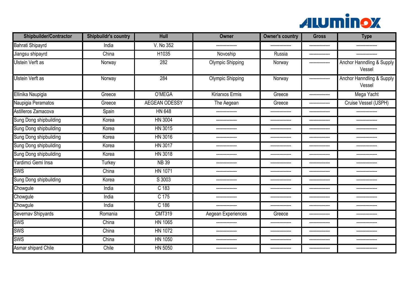

| <b>Shipbuilder/Contractor</b> | <b>Shipbuildr's country</b> | Hull                 | Owner                   | <b>Owner's country</b> | <b>Gross</b>   | <b>Type</b>                         |
|-------------------------------|-----------------------------|----------------------|-------------------------|------------------------|----------------|-------------------------------------|
| <b>Bahrati Shipayrd</b>       | India                       | V. No 352            |                         |                        |                |                                     |
| Jiangsu shipayrd              | China                       | H1035                | Novoship                | Russia                 | -------------- | -------------                       |
| Ulstein Verft as              | Norway                      | 282                  | <b>Olympic Shipping</b> | Norway                 | -------------- | Anchor Hanndling & Supply<br>Vessel |
| <b>Ulstein Verft as</b>       | Norway                      | 284                  | <b>Olympic Shipping</b> | Norway                 | -------------- | Anchor Hanndling & Supply<br>Vessel |
| Ellinika Naupigia             | Greece                      | O'MEGA               | Kiriarxos Ermis         | Greece                 | -------------- | Mega Yacht                          |
| Naupigia Peramatos            | Greece                      | <b>AEGEAN ODESSY</b> | The Aegean              | Greece                 |                | Cruise Vessel (USPH)                |
| Astilleros Zamacova           | Spain                       | <b>HN 648</b>        |                         | --------------         | -------------- | -------------                       |
| Sung Dong shipbuilding        | Korea                       | <b>HN 3004</b>       | ------------            | --------------         |                |                                     |
| Sung Dong shipbuilding        | Korea                       | HN 3015              |                         | --------------         | -------------- |                                     |
| Sung Dong shipbuilding        | Korea                       | HN 3016              | --------------          | --------------         | -------------- | -------------                       |
| Sung Dong shipbuilding        | Korea                       | HN 3017              |                         | --------------         | -------------- |                                     |
| Sung Dong shipbuilding        | Korea                       | HN 3018              | -------------           | --------------         | -------------- | -------------                       |
| Yardimci Gemi Insa            | Turkey                      | <b>NB 39</b>         | -------------           | ---------------        | -------------- |                                     |
| <b>SWS</b>                    | China                       | <b>HN 1071</b>       | --------------          | ---------------        | -------------- | -------------                       |
| Sung Dong shipbuilding        | Korea                       | S 3003               |                         |                        |                |                                     |
| Chowgule                      | India                       | C <sub>183</sub>     |                         | --------------         | -------------- |                                     |
| Chowgule                      | India                       | $C$ 175              |                         |                        |                |                                     |
| Chowgule                      | India                       | $C$ 186              | --------------          | --------------         |                |                                     |
| Severnav Shipyards            | Romania                     | <b>CMT319</b>        | Aegean Experiences      | Greece                 |                |                                     |
| SWS                           | China                       | <b>HN 1065</b>       |                         |                        |                |                                     |
| <b>SWS</b>                    | China                       | <b>HN 1072</b>       | --------------          | --------------         | -------------- | -------------                       |
| <b>SWS</b>                    | China                       | HN 1050              | -------------           | ---------------        | -------------- |                                     |
| Asmar shipard Chile           | Chile                       | HN 5050              | --------------          | --------------         | -------------- | -------------                       |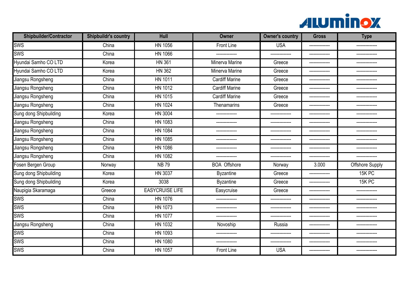

| <b>Shipbuilder/Contractor</b> | <b>Shipbuildr's country</b> | <b>Hull</b>            | <b>Owner</b>          | <b>Owner's country</b> | <b>Gross</b>   | <b>Type</b>            |
|-------------------------------|-----------------------------|------------------------|-----------------------|------------------------|----------------|------------------------|
| sws                           | China                       | <b>HN 1056</b>         | Front Line            | <b>USA</b>             | -------------- | --------------         |
| <b>SWS</b>                    | China                       | HN 1066                |                       |                        | -------------- |                        |
| Hyundai Samho CO LTD          | Korea                       | <b>HN 361</b>          | <b>Minerva Marine</b> | Greece                 | -------------- |                        |
| Hyundai Samho CO LTD          | Korea                       | <b>HN 362</b>          | Minerva Marine        | Greece                 | -------------- |                        |
| Jiangsu Rongsheng             | China                       | <b>HN 1011</b>         | <b>Cardiff Marine</b> | Greece                 |                |                        |
| Jiangsu Rongsheng             | China                       | HN 1012                | <b>Cardiff Marine</b> | Greece                 | -------------- |                        |
| Jiangsu Rongsheng             | China                       | HN 1015                | <b>Cardiff Marine</b> | Greece                 | -------------- | --------               |
| Jiangsu Rongsheng             | China                       | <b>HN 1024</b>         | Thenamarins           | Greece                 | -------------- | --------------         |
| Sung dong Shipbuilding        | Korea                       | <b>HN 3004</b>         | -------------         |                        | -------------- |                        |
| Jiangsu Rongsheng             | China                       | <b>HN 1083</b>         | --------------        | ---------------        | -------------- | -------------          |
| Jiangsu Rongsheng             | China                       | <b>HN 1084</b>         |                       | --------------         |                |                        |
| Jiangsu Rongsheng             | China                       | <b>HN 1085</b>         | -------------         | ---------------        | -------------- | -----------            |
| Jiangsu Rongsheng             | China                       | <b>HN 1086</b>         |                       |                        |                |                        |
| Jiangsu Rongsheng             | China                       | <b>HN 1082</b>         | -------------         | --------------         | -------------- | --------------         |
| Fosen Bergen Group            | Norway                      | <b>NB79</b>            | <b>BOA Offshore</b>   | Norway                 | 3.000          | <b>Offshore Supply</b> |
| Sung dong Shipbuilding        | Korea                       | <b>HN 3037</b>         | <b>Byzantine</b>      | Greece                 | -------------- | 15K PC                 |
| Sung dong Shipbuilding        | Korea                       | 3038                   | <b>Byzantine</b>      | Greece                 | -------------- | 15K PC                 |
| Naupigia Skaramaga            | Greece                      | <b>EASYCRUISE LIFE</b> | Easycruise            | Greece                 | -------------- | --------------         |
| <b>SWS</b>                    | China                       | <b>HN 1076</b>         | --------------        | --------------         | -------------- |                        |
| SWS                           | China                       | HN 1073                | -------------         | --------------         | -------------- | -------------          |
| <b>SWS</b>                    | China                       | <b>HN 1077</b>         |                       | --------------         |                |                        |
| Jiangsu Rongsheng             | China                       | <b>HN 1032</b>         | Novoship              | Russia                 | -------------- |                        |
| <b>SWS</b>                    | China                       | HN 1093                | -------------         | --------------         | -------------- | -------------          |
| SWS                           | China                       | <b>HN 1080</b>         | -------------         | --------------         | -------------- | -------------          |
| <b>SWS</b>                    | China                       | <b>HN 1057</b>         | Front Line            | <b>USA</b>             | -------------- | --------------         |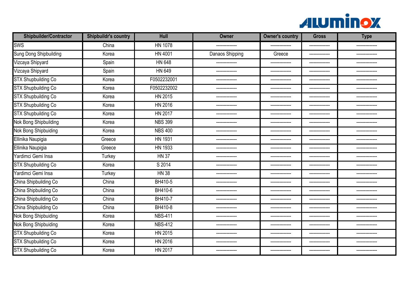

| <b>Shipbuilder/Contractor</b> | <b>Shipbuildr's country</b> | Hull           | Owner           | <b>Owner's country</b> | <b>Gross</b>   | <b>Type</b>    |
|-------------------------------|-----------------------------|----------------|-----------------|------------------------|----------------|----------------|
| <b>SWS</b>                    | China                       | <b>HN 1078</b> | --------------  | --------------         | -------------- | -------------- |
| Sung Dong Shipbuilding        | Korea                       | <b>HN 4001</b> | Danaos Shipping | Greece                 | -------------- |                |
| Vizcaya Shipyard              | Spain                       | <b>HN 648</b>  | --------------  | --------------         | -------------- | -------------- |
| Vizcaya Shipyard              | Spain                       | HN 649         | --------------  | ---------------        | -------------- | -------------- |
| <b>STX Shupbuilding Co</b>    | Korea                       | F0502232001    |                 | --------------         | -------------- | -------------  |
| <b>STX Shupbuilding Co</b>    | Korea                       | F0502232002    |                 | --------------         | -------------- |                |
| <b>STX Shupbuilding Co</b>    | Korea                       | HN 2015        | -------------   | ---------------        | -------------- | -------------  |
| <b>STX Shupbuilding Co</b>    | Korea                       | HN 2016        | --------------  | --------------         | -------------- | -------------- |
| <b>STX Shupbuilding Co</b>    | Korea                       | HN 2017        | --------------  | --------------         | -------------- | -------------  |
| Nok Bong Shipbuilding         | Korea                       | <b>NBS 399</b> | --------------  | --------------         | -------------- | -------------- |
| <b>Nok Bong Shipbuiding</b>   | Korea                       | <b>NBS 400</b> | -------------   | --------------         | -------------- | -------------  |
| Ellinika Naupigia             | Greece                      | <b>HN 1931</b> | --------------  | --------------         | -------------- | -------------  |
| Ellinika Naupigia             | Greece                      | HN 1933        | --------------  | ---------------        |                | -----------    |
| Yardimci Gemi Insa            | Turkey                      | <b>HN 37</b>   | -------------   | --------------         | -------------  | -------------  |
| <b>STX Shupbuilding Co</b>    | Korea                       | S 2014         | --------        |                        |                |                |
| Yardimci Gemi Insa            | <b>Turkey</b>               | <b>HN 38</b>   | --------------  | --------------         | -------------- | -------------- |
| China Shipbuilding Co         | China                       | BH410-5        | --------------  | ---------------        | -------------- |                |
| China Shipbuilding Co         | China                       | BH410-6        | --------------  | --------------         | -------------- | -------------- |
| China Shipbuilding Co         | China                       | BH410-7        |                 |                        |                |                |
| China Shipbuilding Co         | China                       | BH410-8        | -------------   | --------------         | -------------- | -------------- |
| Nok Bong Shipbuiding          | Korea                       | <b>NBS-411</b> |                 | --------------         | -------------- |                |
| Nok Bong Shipbuiding          | Korea                       | <b>NBS-412</b> | ------          | --------------         | -------------- | -------        |
| <b>STX Shupbuilding Co</b>    | Korea                       | HN 2015        |                 |                        | -------------- |                |
| <b>STX Shupbuilding Co</b>    | Korea                       | HN 2016        | --------------  | ---------------        | -------------- | -------------  |
| <b>STX Shupbuilding Co</b>    | Korea                       | HN 2017        |                 | ---------------        | -------------- |                |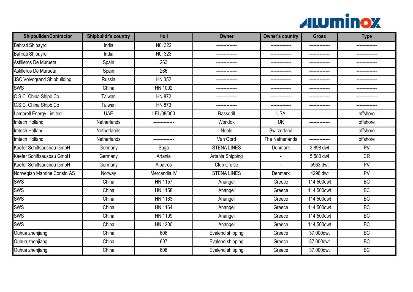

| <b>Shipbuilder/Contractor</b>      | <b>Shipbuildr's country</b> | Hull           | <b>Owner</b>       | <b>Owner's country</b> | <b>Gross</b>   | <b>Type</b>   |
|------------------------------------|-----------------------------|----------------|--------------------|------------------------|----------------|---------------|
| Bahrati Shipayrd                   | India                       | NO. 322        | -------------      | --------------         | -------------- |               |
| Bahrati Shipayrd                   | India                       | NO. 323        | -------------      | --------------         | -------------- | ------------- |
| Astilleros De Murueta              | Spain                       | 263            | -------------      | ---------------        | -------------- | ----------    |
| Astilleros De Murueta              | Spain                       | 266            |                    |                        |                |               |
| <b>JSC Volvogrand Shipbuilding</b> | Russia                      | <b>HN 352</b>  |                    |                        | -------------  |               |
| <b>SWS</b>                         | China                       | HN 1092        |                    |                        |                |               |
| C.S.C. China Shipb.Co              | Taiwan                      | <b>HN 872</b>  |                    |                        |                |               |
| C.S.C. China Shipb.Co              | Taiwan                      | <b>HN 873</b>  | -------------      | --------------         | -------------- |               |
| Lamprell Energy Limited            | <b>UAE</b>                  | LEL/08/003     | <b>Bassdrill</b>   | <b>USA</b>             | -------------- | offshore      |
| Imtech Holland                     | <b>Netherlands</b>          | -------------- | Workfox            | <b>UK</b>              | -------------- | offshore      |
| Imtech Holland                     | Netherlands                 |                | Noble              | Switzerland            |                | offshore      |
| Imtech Holland                     | Netherlands                 |                | Van Oord           | The Netherlands        | -------------- | offshore      |
| Kaefer Schiffsausbau GmbH          | Germany                     | Saga           | <b>STENA LINES</b> | Denmark                | 3.898 dwt      | PV            |
| Kaefer Schiffsausbau GmbH          | Germany                     | Artania        | Artania Shipping   |                        | 5.580 dwt      | <b>CR</b>     |
| Kaefer Schiffsausbau GmbH          | Germany                     | Albatros       | <b>Club Cruise</b> | ٠                      | 5963 dwt       | PV            |
| Norwegian Manrine Constr. AS       | Norway                      | Mercandia IV   | <b>STENA LINES</b> | Denmark                | 4296 dwt       | PV            |
| <b>SWS</b>                         | China                       | <b>HN 1157</b> | Anangel            | Greece                 | 114.500dwt     | <b>BC</b>     |
| <b>SWS</b>                         | China                       | <b>HN 1158</b> | Anangel            | Greece                 | 114.500dwt     | <b>BC</b>     |
| <b>SWS</b>                         | China                       | HN 1163        | Anangel            | Greece                 | 114.500dwt     | BC            |
| <b>SWS</b>                         | China                       | <b>HN 1164</b> | Anangel            | Greece                 | 114.500dwt     | <b>BC</b>     |
| <b>SWS</b>                         | China                       | HN 1199        | Anangel            | Greece                 | 114.500dwt     | <b>BC</b>     |
| <b>SWS</b>                         | China                       | <b>HN 1200</b> | Anangel            | Greece                 | 114.500dwt     | <b>BC</b>     |
| Ouhua zhenjiang                    | China                       | 606            | Evalend shipping   | Greece                 | 37.000dwt      | <b>BC</b>     |
| Ouhua zhenjiang                    | China                       | 607            | Evalend shipping   | Greece                 | 37.000dwt      | BC            |
| Ouhua zhenjiang                    | China                       | 608            | Evalend shipping   | Greece                 | 37.000dwt      | <b>BC</b>     |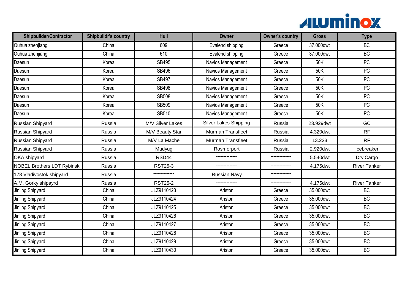

| <b>Shipbuilder/Contractor</b>     | <b>Shipbuildr's country</b> | Hull             | <b>Owner</b>                 | <b>Owner's country</b> | <b>Gross</b> | <b>Type</b>         |
|-----------------------------------|-----------------------------|------------------|------------------------------|------------------------|--------------|---------------------|
| Ouhua zhenjiang                   | China                       | 609              | Evalend shipping             | Greece                 | 37.000dwt    | BC                  |
| Ouhua zhenjiang                   | China                       | 610              | Evalend shipping             | Greece                 | 37.000dwt    | <b>BC</b>           |
| Daesun                            | Korea                       | <b>SB495</b>     | Navios Management            | Greece                 | 50K          | PC                  |
| Daesun                            | Korea                       | SB496            | Navios Management            | Greece                 | 50K          | <b>PC</b>           |
| Daesun                            | Korea                       | <b>SB497</b>     | Navios Management            | Greece                 | 50K          | PC                  |
| Daesun                            | Korea                       | <b>SB498</b>     | Navios Management            | Greece                 | 50K          | <b>PC</b>           |
| Daesun                            | Korea                       | <b>SB508</b>     | Navios Management            | Greece                 | 50K          | $\overline{PC}$     |
| Daesun                            | Korea                       | <b>SB509</b>     | Navios Management            | Greece                 | 50K          | PC                  |
| Daesun                            | Korea                       | SB510            | Navios Management            | Greece                 | 50K          | <b>PC</b>           |
| Russian Shipyard                  | Russia                      | M/V Silver Lakes | <b>Silver Lakes Shipping</b> | Russia                 | 23.929dwt    | GC                  |
| Russian Shipyard                  | Russia                      | M/V Beauty Star  | <b>Murman Transfleet</b>     | Russia                 | 4.320dwt     | <b>RF</b>           |
| Russian Shipyard                  | Russia                      | M/V La Mache     | <b>Murman Transfleet</b>     | Russia                 | 13.223       | <b>RF</b>           |
| Russian Shipyard                  | Russia                      | Mudyug           | Rosmorport                   | Russia                 | 2.920dwt     | Icebreaker          |
| <b>OKA</b> shipyard               | Russia                      | RSD44            |                              |                        | 5.540dwt     | Dry Cargo           |
| <b>NOBEL Brothers LDT Rybinsk</b> | Russia                      | <b>RST25-3</b>   | --------------               | --------------         | 4.175dwt     | <b>River Tanker</b> |
| 178 Vladivostok shipyard          | Russia                      | --------------   | <b>Russian Navy</b>          | .                      |              |                     |
| A.M. Gorky shipayrd               | Russia                      | <b>RST25-2</b>   |                              | --------------         | 4.175dwt     | <b>River Tanker</b> |
| Jinling Shipyard                  | China                       | JLZ9110423       | Ariston                      | Greece                 | 35.000dwt    | <b>BC</b>           |
| Jinling Shipyard                  | China                       | JLZ9110424       | Ariston                      | Greece                 | 35.000dwt    | BC                  |
| Jinling Shipyard                  | China                       | JLZ9110425       | Ariston                      | Greece                 | 35.000dwt    | <b>BC</b>           |
| Jinling Shipyard                  | China                       | JLZ9110426       | Ariston                      | Greece                 | 35.000dwt    | <b>BC</b>           |
| Jinling Shipyard                  | China                       | JLZ9110427       | Ariston                      | Greece                 | 35.000dwt    | BC                  |
| Jinling Shipyard                  | China                       | JLZ9110428       | Ariston                      | Greece                 | 35.000dwt    | <b>BC</b>           |
| Jinling Shipyard                  | China                       | JLZ9110429       | Ariston                      | Greece                 | 35.000dwt    | BC                  |
| Jinling Shipyard                  | China                       | JLZ9110430       | Ariston                      | Greece                 | 35.000dwt    | BC                  |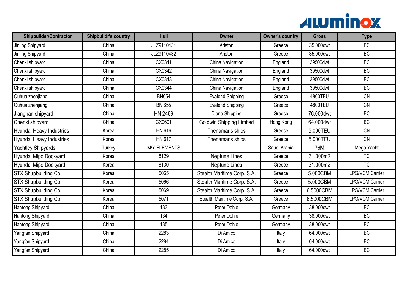

| <b>Shipbuilder/Contractor</b> | <b>Shipbuildr's country</b> | Hull                | <b>Owner</b>                | <b>Owner's country</b> | <b>Gross</b> | <b>Type</b>            |
|-------------------------------|-----------------------------|---------------------|-----------------------------|------------------------|--------------|------------------------|
| Jinling Shipyard              | China                       | JLZ9110431          | Ariston                     | Greece                 | 35.000dwt    | BC                     |
| Jinling Shipyard              | China                       | JLZ9110432          | Ariston                     | Greece                 | 35.000dwt    | BC                     |
| Chenxi shipyard               | China                       | CX0341              | China Navigation            | England                | 39500dwt     | BC                     |
| Chenxi shipyard               | China                       | CX0342              | China Navigation            | England                | 39500dwt     | BC                     |
| Chenxi shipyard               | China                       | CX0343              | China Navigation            | England                | 39500dwt     | BC                     |
| Chenxi shipyard               | China                       | CX0344              | China Navigation            | England                | 39500dwt     | <b>BC</b>              |
| Ouhua zhenjiang               | China                       | <b>BN654</b>        | <b>Evalend Shipping</b>     | Greece                 | 4800TEU      | $\overline{CN}$        |
| Ouhua zhenjiang               | China                       | <b>BN 655</b>       | <b>Evalend Shipping</b>     | Greece                 | 4800TEU      | $\overline{CN}$        |
| Jiangnan shipyard             | China                       | HN 2459             | Diana Shipping              | Greece                 | 76.000dwt    | <b>BC</b>              |
| Chenxi shipyard               | China                       | CX0601              | Goldwin Shipping Limited    | Hong Kong              | 64.000dwt    | BC                     |
| Hyundai Heavy Industries      | Korea                       | <b>HN 616</b>       | Thenamaris ships            | Greece                 | 5.000TEU     | $\overline{CN}$        |
| Hyundai Heavy Industries      | Korea                       | <b>HN 617</b>       | Thenamaris ships            | Greece                 | 5.000TEU     | $\overline{CN}$        |
| Yachtley Shipyards            | Turkey                      | <b>M/Y ELEMENTS</b> |                             | Saudi Arabia           | <b>76M</b>   | Mega Yacht             |
| Hyundai Mipo Dockyard         | Korea                       | 8129                | <b>Neptune Lines</b>        | Greece                 | 31.000m2     | TC                     |
| Hyundai Mipo Dockyard         | Korea                       | 8130                | Neptune Lines               | Greece                 | 31.000m2     | TC                     |
| <b>STX Shupbuilding Co</b>    | Korea                       | 5065                | Stealth Maritime Corp. S.A. | Greece                 | 5.000CBM     | <b>LPG/VCM Carrier</b> |
| <b>STX Shupbuilding Co</b>    | Korea                       | 5066                | Stealth Maritime Corp. S.A. | Greece                 | 5.000CBM     | <b>LPG/VCM Carrier</b> |
| <b>STX Shupbuilding Co</b>    | Korea                       | 5069                | Stealth Maritime Corp. S.A. | Greece                 | 6.5000CBM    | <b>LPG/VCM Carrier</b> |
| <b>STX Shupbuilding Co</b>    | Korea                       | 5071                | Stealth Maritime Corp. S.A. | Greece                 | 6.5000CBM    | <b>LPG/VCM Carrier</b> |
| Hantong Shipyard              | China                       | 133                 | Peter Dohle                 | Germany                | 38.000dwt    | BC                     |
| Hantong Shipyard              | China                       | 134                 | Peter Dohle                 | Germany                | 38.000dwt    | <b>BC</b>              |
| Hantong Shipyard              | China                       | 135                 | Peter Dohle                 | Germany                | 38.000dwt    | BC                     |
| Yangfan Shipyard              | China                       | 2283                | Di Amico                    | Italy                  | 64.000dwt    | <b>BC</b>              |
| Yangfan Shipyard              | China                       | 2284                | Di Amico                    | Italy                  | 64.000dwt    | BC                     |
| Yangfan Shipyard              | China                       | 2285                | Di Amico                    | Italy                  | 64.000dwt    | BC                     |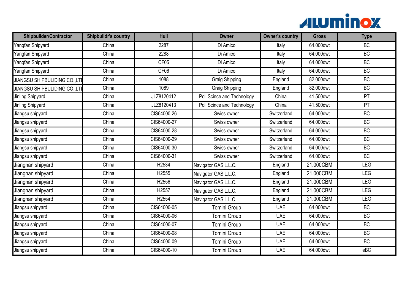

| <b>Shipbuilder/Contractor</b>       | <b>Shipbuildr's country</b> | <b>Hull</b>       | Owner                      | <b>Owner's country</b> | <b>Gross</b> | <b>Type</b> |
|-------------------------------------|-----------------------------|-------------------|----------------------------|------------------------|--------------|-------------|
| Yangfan Shipyard                    | China                       | 2287              | Di Amico                   | Italy                  | 64.000dwt    | BC          |
| Yangfan Shipyard                    | China                       | 2288              | Di Amico                   | Italy                  | 64.000dwt    | <b>BC</b>   |
| Yangfan Shipyard                    | China                       | CF05              | Di Amico                   | Italy                  | 64.000dwt    | BC          |
| Yangfan Shipyard                    | China                       | CF06              | Di Amico                   | Italy                  | 64.000dwt    | BC          |
| <b>JIANGSU SHIPBULIDING CO.,LT</b>  | China                       | 1088              | <b>Graig Shipping</b>      | England                | 82.000dwt    | BC          |
| <b>JIANGSU SHIPBULIDING CO.,LTI</b> | China                       | 1089              | <b>Graig Shipping</b>      | England                | 82.000dwt    | <b>BC</b>   |
| Jinling Shipyard                    | China                       | JLZ8120412        | Poli Scince and Technology | China                  | 41.500dwt    | PT          |
| Jinling Shipyard                    | China                       | JLZ8120413        | Poli Scince and Technology | China                  | 41.500dwt    | PT          |
| Jiangsu shipyard                    | China                       | CIS64000-26       | Swiss owner                | Switzerland            | 64.000dwt    | BC          |
| Jiangsu shipyard                    | China                       | CIS64000-27       | Swiss owner                | Switzerland            | 64.000dwt    | BC          |
| Jiangsu shipyard                    | China                       | CIS64000-28       | Swiss owner                | Switzerland            | 64.000dwt    | BC          |
| Jiangsu shipyard                    | China                       | CIS64000-29       | Swiss owner                | Switzerland            | 64.000dwt    | BC          |
| Jiangsu shipyard                    | China                       | CIS64000-30       | Swiss owner                | Switzerland            | 64.000dwt    | <b>BC</b>   |
| Jiangsu shipyard                    | China                       | CIS64000-31       | Swiss owner                | Switzerland            | 64.000dwt    | BC          |
| Jiangnan shipyard                   | China                       | H <sub>2534</sub> | Navigator GAS L.L.C.       | England                | 21.000CBM    | LEG         |
| Jiangnan shipyard                   | China                       | H2555             | Navigator GAS L.L.C.       | England                | 21.000CBM    | <b>LEG</b>  |
| Jiangnan shipyard                   | China                       | H2556             | Navigator GAS L.L.C.       | England                | 21.000CBM    | <b>LEG</b>  |
| Jiangnan shipyard                   | China                       | H2557             | Navigator GAS L.L.C.       | England                | 21.000CBM    | <b>LEG</b>  |
| Jiangnan shipyard                   | China                       | H <sub>2554</sub> | Navigator GAS L.L.C.       | England                | 21.000CBM    | LEG         |
| Jiangsu shipyard                    | China                       | CIS64000-05       | <b>Tomini Group</b>        | <b>UAE</b>             | 64.000dwt    | <b>BC</b>   |
| Jiangsu shipyard                    | China                       | CIS64000-06       | <b>Tomini Group</b>        | <b>UAE</b>             | 64.000dwt    | <b>BC</b>   |
| Jiangsu shipyard                    | China                       | CIS64000-07       | Tomini Group               | <b>UAE</b>             | 64.000dwt    | BC          |
| Jiangsu shipyard                    | China                       | CIS64000-08       | Tomini Group               | <b>UAE</b>             | 64.000dwt    | BC          |
| Jiangsu shipyard                    | China                       | CIS64000-09       | Tomini Group               | <b>UAE</b>             | 64.000dwt    | BC          |
| Jiangsu shipyard                    | China                       | CIS64000-10       | Tomini Group               | <b>UAE</b>             | 64.000dwt    | $e$ BC      |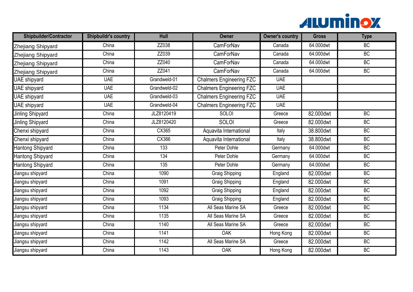

| <b>Shipbuilder/Contractor</b> | <b>Shipbuildr's country</b> | Hull         | <b>Owner</b>                    | <b>Owner's country</b> | <b>Gross</b> | <b>Type</b> |
|-------------------------------|-----------------------------|--------------|---------------------------------|------------------------|--------------|-------------|
| Zhejiang Shipyard             | China                       | ZZ038        | CamForNav                       | Canada                 | 64.000dwt    | BC          |
| Zhejiang Shipyard             | China                       | ZZ039        | CamForNav                       | Canada                 | 64.000dwt    | BC          |
| Zhejiang Shipyard             | China                       | ZZ040        | CamForNav                       | Canada                 | 64.000dwt    | BC          |
| Zhejiang Shipyard             | China                       | ZZ041        | CamForNav                       | Canada                 | 64.000dwt    | BC          |
| UAE shipyard                  | <b>UAE</b>                  | Grandweld-01 | <b>Chalmers Engineering FZC</b> | <b>UAE</b>             |              |             |
| UAE shipyard                  | <b>UAE</b>                  | Grandweld-02 | <b>Chalmers Engineering FZC</b> | <b>UAE</b>             |              |             |
| UAE shipyard                  | <b>UAE</b>                  | Grandweld-03 | <b>Chalmers Engineering FZC</b> | <b>UAE</b>             |              |             |
| UAE shipyard                  | <b>UAE</b>                  | Grandweld-04 | <b>Chalmers Engineering FZC</b> | <b>UAE</b>             |              |             |
| Jinling Shipyard              | China                       | JLZ8120419   | <b>SOLOI</b>                    | Greece                 | 82.000dwt    | <b>BC</b>   |
| Jinling Shipyard              | China                       | JLZ8120420   | <b>SOLOI</b>                    | Greece                 | 82.000dwt    | BC          |
| Chenxi shipyard               | China                       | CX365        | Aquavita International          | Italy                  | 38.800dwt    | BC          |
| Chenxi shipyard               | China                       | <b>CX366</b> | Aquavita International          | Italy                  | 38.800dwt    | BC          |
| Hantong Shipyard              | China                       | 133          | Peter Dohle                     | Germany                | 64.000dwt    | <b>BC</b>   |
| <b>Hantong Shipyard</b>       | China                       | 134          | Peter Dohle                     | Germany                | 64.000dwt    | BC          |
| Hantong Shipyard              | China                       | 135          | <b>Peter Dohle</b>              | Germany                | 64.000dwt    | BC          |
| Jiangsu shipyard              | China                       | 1090         | Graig Shipping                  | England                | 82.000dwt    | <b>BC</b>   |
| Jiangsu shipyard              | China                       | 1091         | Graig Shipping                  | England                | 82.000dwt    | BC          |
| Jiangsu shipyard              | China                       | 1092         | Graig Shipping                  | England                | 82.000dwt    | BC          |
| Jiangsu shipyard              | China                       | 1093         | <b>Graig Shipping</b>           | England                | 82.000dwt    | BC          |
| Jiangsu shipyard              | China                       | 1134         | All Seas Marine SA              | Greece                 | 82.000dwt    | BC          |
| Jiangsu shipyard              | China                       | 1135         | All Seas Marine SA              | Greece                 | 82.000dwt    | <b>BC</b>   |
| Jiangsu shipyard              | China                       | 1140         | All Seas Marine SA              | Greece                 | 82.000dwt    | BC          |
| Jiangsu shipyard              | China                       | 1141         | OAK                             | Hong Kong              | 82.000dwt    | <b>BC</b>   |
| Jiangsu shipyard              | China                       | 1142         | All Seas Marine SA              | Greece                 | 82.000dwt    | BC          |
| Jiangsu shipyard              | China                       | 1143         | OAK                             | Hong Kong              | 82.000dwt    | BC          |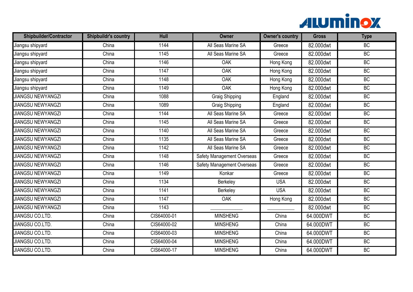

| <b>Shipbuilder/Contractor</b> | <b>Shipbuildr's country</b> | Hull        | <b>Owner</b>                      | <b>Owner's country</b> | <b>Gross</b> | <b>Type</b> |
|-------------------------------|-----------------------------|-------------|-----------------------------------|------------------------|--------------|-------------|
| Jiangsu shipyard              | China                       | 1144        | All Seas Marine SA                | Greece                 | 82.000dwt    | BC          |
| Jiangsu shipyard              | China                       | 1145        | All Seas Marine SA                | Greece                 | 82.000dwt    | BC          |
| Jiangsu shipyard              | China                       | 1146        | <b>OAK</b>                        | Hong Kong              | 82.000dwt    | BC          |
| Jiangsu shipyard              | China                       | 1147        | OAK                               | Hong Kong              | 82.000dwt    | BC          |
| Jiangsu shipyard              | China                       | 1148        | <b>OAK</b>                        | Hong Kong              | 82.000dwt    | BC          |
| Jiangsu shipyard              | China                       | 1149        | OAK                               | Hong Kong              | 82.000dwt    | <b>BC</b>   |
| <b>JIANGSU NEWYANGZI</b>      | China                       | 1088        | <b>Graig Shipping</b>             | England                | 82.000dwt    | BC          |
| <b>JIANGSU NEWYANGZI</b>      | China                       | 1089        | <b>Graig Shipping</b>             | England                | 82.000dwt    | BC          |
| <b>JIANGSU NEWYANGZI</b>      | China                       | 1144        | All Seas Marine SA                | Greece                 | 82.000dwt    | <b>BC</b>   |
| <b>JIANGSU NEWYANGZI</b>      | China                       | 1145        | All Seas Marine SA                | Greece                 | 82.000dwt    | BC          |
| <b>JIANGSU NEWYANGZI</b>      | China                       | 1140        | All Seas Marine SA                | Greece                 | 82.000dwt    | BC          |
| <b>JIANGSU NEWYANGZI</b>      | China                       | 1135        | All Seas Marine SA                | Greece                 | 82.000dwt    | BC          |
| <b>JIANGSU NEWYANGZI</b>      | China                       | 1142        | All Seas Marine SA                | Greece                 | 82.000dwt    | <b>BC</b>   |
| <b>JIANGSU NEWYANGZI</b>      | China                       | 1148        | <b>Safety Management Overseas</b> | Greece                 | 82.000dwt    | BC          |
| <b>JIANGSU NEWYANGZI</b>      | China                       | 1146        | <b>Safety Management Overseas</b> | Greece                 | 82.000dwt    | BC          |
| <b>JIANGSU NEWYANGZI</b>      | China                       | 1149        | Konkar                            | Greece                 | 82.000dwt    | <b>BC</b>   |
| <b>JIANGSU NEWYANGZI</b>      | China                       | 1134        | Berkeley                          | <b>USA</b>             | 82.000dwt    | BC          |
| <b>JIANGSU NEWYANGZI</b>      | China                       | 1141        | Berkeley                          | <b>USA</b>             | 82.000dwt    | BC          |
| <b>JIANGSU NEWYANGZI</b>      | China                       | 1147        | <b>OAK</b>                        | Hong Kong              | 82.000dwt    | BC          |
| <b>JIANGSU NEWYANGZI</b>      | China                       | 1143        |                                   |                        | 82.000dwt    | BC          |
| <b>JIANGSU CO.LTD.</b>        | China                       | CIS64000-01 | <b>MINSHENG</b>                   | China                  | 64.000DWT    | <b>BC</b>   |
| <b>JIANGSU CO.LTD.</b>        | China                       | CIS64000-02 | <b>MINSHENG</b>                   | China                  | 64.000DWT    | BC          |
| <b>JIANGSU CO.LTD.</b>        | China                       | CIS64000-03 | <b>MINSHENG</b>                   | China                  | 64.000DWT    | <b>BC</b>   |
| <b>JIANGSU CO.LTD.</b>        | China                       | CIS64000-04 | <b>MINSHENG</b>                   | China                  | 64.000DWT    | BC          |
| <b>JIANGSU CO.LTD.</b>        | China                       | CIS64000-17 | <b>MINSHENG</b>                   | China                  | 64.000DWT    | BC          |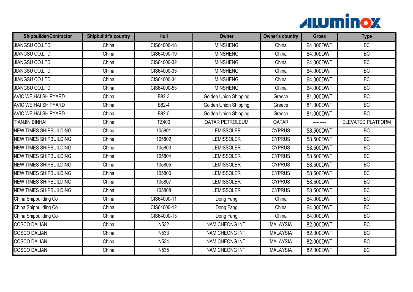

| <b>Shipbuilder/Contractor</b> | <b>Shipbuildr's country</b> | Hull             | <b>Owner</b>                 | <b>Owner's country</b> | <b>Gross</b> | <b>Type</b>              |
|-------------------------------|-----------------------------|------------------|------------------------------|------------------------|--------------|--------------------------|
| <b>JIANGSU CO.LTD.</b>        | China                       | CIS64000-18      | <b>MINSHENG</b>              | China                  | 64.000DWT    | BC                       |
| <b>JIANGSU CO.LTD.</b>        | China                       | CIS64000-19      | <b>MINSHENG</b>              | China                  | 64.000DWT    | BC                       |
| <b>JIANGSU CO.LTD.</b>        | China                       | CIS64000-32      | <b>MINSHENG</b>              | China                  | 64.000DWT    | BC                       |
| <b>JIANGSU CO.LTD.</b>        | China                       | CIS64000-33      | <b>MINSHENG</b>              | China                  | 64.000DWT    | BC                       |
| <b>JIANGSU CO.LTD.</b>        | China                       | CIS64000-34      | <b>MINSHENG</b>              | China                  | 64.000DWT    | BC                       |
| <b>JIANGSU CO.LTD.</b>        | China                       | CIS64000-53      | <b>MINSHENG</b>              | China                  | 64.000DWT    | <b>BC</b>                |
| <b>AVIC WEIHAI SHIPYARD</b>   | China                       | B82-3            | <b>Golden Union Shipping</b> | Greece                 | 81.000DWT    | BC                       |
| <b>AVIC WEIHAI SHIPYARD</b>   | China                       | B82-4            | <b>Golden Union Shipping</b> | Greece                 | 81.000DWT    | BC                       |
| <b>AVIC WEIHAI SHIPYARD</b>   | China                       | B82-5            | Golden Union Shipping        | Greece                 | 81.000DWT    | <b>BC</b>                |
| <b>TIANJIN BINHAI</b>         | China                       | <b>TZ400</b>     | <b>QATAR PETROLEUM</b>       | QATAR                  | --------     | <b>ELEVATED PLATFORM</b> |
| <b>NEW TIMES SHIPBUILDING</b> | China                       | 105801           | <b>LEMISSOLER</b>            | <b>CYPRUS</b>          | 58.500DWT    | BC                       |
| <b>NEW TIMES SHIPBUILDING</b> | China                       | 105802           | <b>LEMISSOLER</b>            | <b>CYPRUS</b>          | 58.500DWT    | BC                       |
| <b>NEW TIMES SHIPBUILDING</b> | China                       | 105803           | <b>LEMISSOLER</b>            | <b>CYPRUS</b>          | 58.500DWT    | <b>BC</b>                |
| <b>NEW TIMES SHIPBUILDING</b> | China                       | 105804           | <b>LEMISSOLER</b>            | <b>CYPRUS</b>          | 58.500DWT    | BC                       |
| <b>NEW TIMES SHIPBUILDING</b> | China                       | 105805           | <b>LEMISSOLER</b>            | <b>CYPRUS</b>          | 58.500DWT    | BC                       |
| <b>NEW TIMES SHIPBUILDING</b> | China                       | 105806           | <b>LEMISSOLER</b>            | <b>CYPRUS</b>          | 58.500DWT    | BC                       |
| <b>NEW TIMES SHIPBUILDING</b> | China                       | 105807           | <b>LEMISSOLER</b>            | <b>CYPRUS</b>          | 58.500DWT    | BC                       |
| <b>NEW TIMES SHIPBUILDING</b> | China                       | 105808           | <b>LEMISSOLER</b>            | <b>CYPRUS</b>          | 58.500DWT    | BC                       |
| China Shipbuilding Co         | China                       | CIS64000-11      | Dong Fang                    | China                  | 64.000DWT    | BC                       |
| China Shipbuilding Co         | China                       | CIS64000-12      | Dong Fang                    | China                  | 64.000DWT    | BC                       |
| China Shipbuilding Co         | China                       | CIS64000-13      | Dong Fang                    | China                  | 64.000DWT    | <b>BC</b>                |
| <b>COSCO DALIAN</b>           | China                       | N532             | NAM CHEONG INT.              | <b>MALAYSIA</b>        | 82.000DWT    | BC                       |
| <b>COSCO DALIAN</b>           | China                       | N <sub>533</sub> | NAM CHEONG INT.              | <b>MALAYSIA</b>        | 82.000DWT    | <b>BC</b>                |
| <b>COSCO DALIAN</b>           | China                       | N <sub>534</sub> | NAM CHEONG INT.              | <b>MALAYSIA</b>        | 82.000DWT    | BC                       |
| <b>COSCO DALIAN</b>           | China                       | N535             | NAM CHEONG INT.              | <b>MALAYSIA</b>        | 82.000DWT    | BC                       |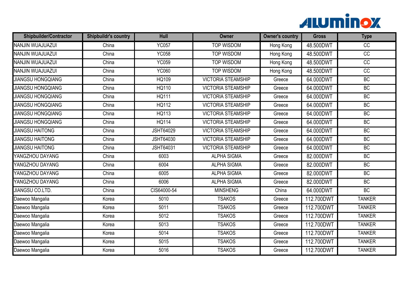

| <b>Shipbuilder/Contractor</b> | <b>Shipbuildr's country</b> | Hull             | <b>Owner</b>              | <b>Owner's country</b> | <b>Gross</b> | <b>Type</b>     |
|-------------------------------|-----------------------------|------------------|---------------------------|------------------------|--------------|-----------------|
| NANJIN WUAJUAZUI              | China                       | <b>YC057</b>     | <b>TOP WISDOM</b>         | Hong Kong              | 48.500DWT    | $\overline{cc}$ |
| NANJIN WUAJUAZUI              | China                       | <b>YC058</b>     | <b>TOP WISDOM</b>         | Hong Kong              | 48.500DWT    | $\overline{CC}$ |
| NANJIN WUAJUAZUI              | China                       | <b>YC059</b>     | <b>TOP WISDOM</b>         | Hong Kong              | 48.500DWT    | $\overline{CC}$ |
| NANJIN WUAJUAZUI              | China                       | <b>YC060</b>     | <b>TOP WISDOM</b>         | Hong Kong              | 48.500DWT    | $\overline{CC}$ |
| <b>JIANGSU HONGQIANG</b>      | China                       | <b>HQ109</b>     | <b>VICTORIA STEAMSHIP</b> | Greece                 | 64.000DWT    | BC              |
| <b>JIANGSU HONGQIANG</b>      | China                       | HQ110            | <b>VICTORIA STEAMSHIP</b> | Greece                 | 64.000DWT    | <b>BC</b>       |
| <b>JIANGSU HONGQIANG</b>      | China                       | <b>HQ111</b>     | <b>VICTORIA STEAMSHIP</b> | Greece                 | 64.000DWT    | BC              |
| <b>JIANGSU HONGQIANG</b>      | China                       | <b>HQ112</b>     | <b>VICTORIA STEAMSHIP</b> | Greece                 | 64.000DWT    | BC              |
| <b>JIANGSU HONGQIANG</b>      | China                       | HQ113            | <b>VICTORIA STEAMSHIP</b> | Greece                 | 64.000DWT    | <b>BC</b>       |
| <b>JIANGSU HONGQIANG</b>      | China                       | <b>HQ114</b>     | <b>VICTORIA STEAMSHIP</b> | Greece                 | 64.000DWT    | BC              |
| <b>JIANGSU HAITONG</b>        | China                       | <b>JSHT64029</b> | <b>VICTORIA STEAMSHIP</b> | Greece                 | 64.000DWT    | BC              |
| <b>JIANGSU HAITONG</b>        | China                       | <b>JSHT64030</b> | <b>VICTORIA STEAMSHIP</b> | Greece                 | 64.000DWT    | BC              |
| <b>JIANGSU HAITONG</b>        | China                       | <b>JSHT64031</b> | <b>VICTORIA STEAMSHIP</b> | Greece                 | 64.000DWT    | BC              |
| YANGZHOU DAYANG               | China                       | 6003             | <b>ALPHA SIGMA</b>        | Greece                 | 82.000DWT    | BC              |
| YANGZHOU DAYANG               | China                       | 6004             | <b>ALPHA SIGMA</b>        | Greece                 | 82.000DWT    | BC              |
| YANGZHOU DAYANG               | China                       | 6005             | <b>ALPHA SIGMA</b>        | Greece                 | 82.000DWT    | <b>BC</b>       |
| YANGZHOU DAYANG               | China                       | 6006             | <b>ALPHA SIGMA</b>        | Greece                 | 82.000DWT    | BC              |
| <b>JIANGSU CO.LTD.</b>        | China                       | CIS64000-54      | <b>MINSHENG</b>           | China                  | 64.000DWT    | BC              |
| Daewoo Mangalia               | Korea                       | 5010             | <b>TSAKOS</b>             | Greece                 | 112.700DWT   | <b>TANKER</b>   |
| Daewoo Mangalia               | Korea                       | 5011             | <b>TSAKOS</b>             | Greece                 | 112.700DWT   | <b>TANKER</b>   |
| Daewoo Mangalia               | Korea                       | 5012             | <b>TSAKOS</b>             | Greece                 | 112.700DWT   | <b>TANKER</b>   |
| Daewoo Mangalia               | Korea                       | 5013             | <b>TSAKOS</b>             | Greece                 | 112.700DWT   | <b>TANKER</b>   |
| Daewoo Mangalia               | Korea                       | 5014             | <b>TSAKOS</b>             | Greece                 | 112.700DWT   | <b>TANKER</b>   |
| Daewoo Mangalia               | Korea                       | 5015             | <b>TSAKOS</b>             | Greece                 | 112.700DWT   | <b>TANKER</b>   |
| Daewoo Mangalia               | Korea                       | 5016             | <b>TSAKOS</b>             | Greece                 | 112.700DWT   | <b>TANKER</b>   |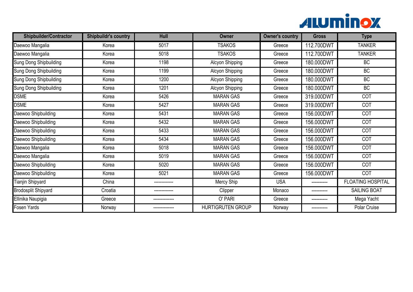

| <b>Shipbuilder/Contractor</b> | <b>Shipbuildr's country</b> | Hull         | Owner                    | <b>Owner's country</b> | <b>Gross</b> | <b>Type</b>              |
|-------------------------------|-----------------------------|--------------|--------------------------|------------------------|--------------|--------------------------|
| Daewoo Mangalia               | Korea                       | 5017         | <b>TSAKOS</b>            | Greece                 | 112.700DWT   | <b>TANKER</b>            |
| Daewoo Mangalia               | Korea                       | 5018         | <b>TSAKOS</b>            | Greece                 | 112.700DWT   | <b>TANKER</b>            |
| <b>Sung Dong Shipbuilding</b> | Korea                       | 1198         | Alcyon Shipping          | Greece                 | 180.000DWT   | <b>BC</b>                |
| <b>Sung Dong Shipbuilding</b> | Korea                       | 1199         | Alcyon Shipping          | Greece                 | 180.000DWT   | <b>BC</b>                |
| <b>Sung Dong Shipbuilding</b> | Korea                       | 1200         | Alcyon Shipping          | Greece                 | 180.000DWT   | <b>BC</b>                |
| <b>Sung Dong Shipbuilding</b> | Korea                       | 1201         | Alcyon Shipping          | Greece                 | 180.000DWT   | <b>BC</b>                |
| <b>DSME</b>                   | Korea                       | 5426         | <b>MARAN GAS</b>         | Greece                 | 319.000DWT   | COT                      |
| <b>DSME</b>                   | Korea                       | 5427         | <b>MARAN GAS</b>         | Greece                 | 319.000DWT   | COT                      |
| Daewoo Shipbuilding           | Korea                       | 5431         | <b>MARAN GAS</b>         | Greece                 | 156.000DWT   | COT                      |
| Daewoo Shipbuilding           | Korea                       | 5432         | <b>MARAN GAS</b>         | Greece                 | 156.000DWT   | COT                      |
| Daewoo Shipbuilding           | Korea                       | 5433         | <b>MARAN GAS</b>         | Greece                 | 156.000DWT   | COT                      |
| Daewoo Shipbuilding           | Korea                       | 5434         | <b>MARAN GAS</b>         | Greece                 | 156.000DWT   | COT                      |
| Daewoo Mangalia               | Korea                       | 5018         | <b>MARAN GAS</b>         | Greece                 | 156.000DWT   | COT                      |
| Daewoo Mangalia               | Korea                       | 5019         | <b>MARAN GAS</b>         | Greece                 | 156.000DWT   | COT                      |
| Daewoo Shipbuilding           | Korea                       | 5020         | <b>MARAN GAS</b>         | Greece                 | 156.000DWT   | <b>COT</b>               |
| Daewoo Shipbuilding           | Korea                       | 5021         | <b>MARAN GAS</b>         | Greece                 | 156.000DWT   | COT                      |
| <b>Tianjin Shipyard</b>       | China                       | ------------ | Mercy Ship               | <b>USA</b>             |              | <b>FLOATING HOSPITAL</b> |
| <b>Brodosplit Shipyard</b>    | Croatia                     |              | Clipper                  | Monaco                 |              | <b>SAILING BOAT</b>      |
| Ellinika Naupigia             | Greece                      |              | O' PARI                  | Greece                 |              | Mega Yacht               |
| Fosen Yards                   | Norway                      |              | <b>HURTIGRUTEN GROUP</b> | Norway                 | ----------   | Polar Cruise             |